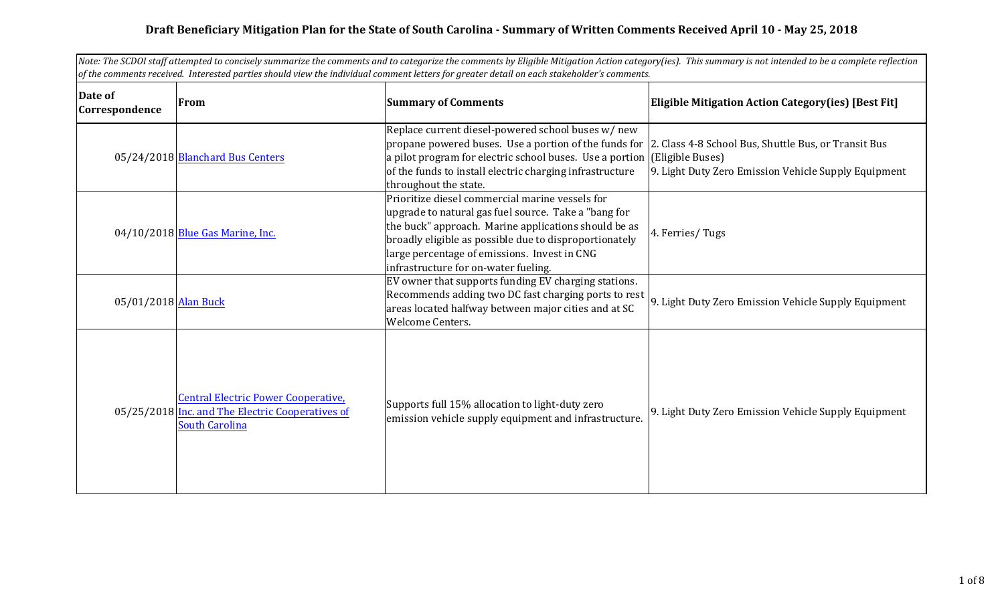## **Draft Beneficiary Mitigation Plan for the State of South Carolina - Summary of Written Comments Received April 10 - May 25, 2018**

| Note: The SCDOI staff attempted to concisely summarize the comments and to categorize the comments by Eligible Mitigation Action category(ies). This summary is not intended to be a complete reflection<br>of the comments received. Interested parties should view the individual comment letters for greater detail on each stakeholder's comments. |                                                                                                                         |                                                                                                                                                                                                                                                                                                                   |                                                                                                                                  |
|--------------------------------------------------------------------------------------------------------------------------------------------------------------------------------------------------------------------------------------------------------------------------------------------------------------------------------------------------------|-------------------------------------------------------------------------------------------------------------------------|-------------------------------------------------------------------------------------------------------------------------------------------------------------------------------------------------------------------------------------------------------------------------------------------------------------------|----------------------------------------------------------------------------------------------------------------------------------|
| Date of<br>Correspondence                                                                                                                                                                                                                                                                                                                              | <b>From</b>                                                                                                             | <b>Summary of Comments</b>                                                                                                                                                                                                                                                                                        | <b>Eligible Mitigation Action Category(ies) [Best Fit]</b>                                                                       |
|                                                                                                                                                                                                                                                                                                                                                        | 05/24/2018 Blanchard Bus Centers                                                                                        | Replace current diesel-powered school buses w/ new<br>propane powered buses. Use a portion of the funds for<br>a pilot program for electric school buses. Use a portion<br>of the funds to install electric charging infrastructure<br>throughout the state.                                                      | 2. Class 4-8 School Bus, Shuttle Bus, or Transit Bus<br>(Eligible Buses)<br>9. Light Duty Zero Emission Vehicle Supply Equipment |
|                                                                                                                                                                                                                                                                                                                                                        | 04/10/2018 Blue Gas Marine, Inc.                                                                                        | Prioritize diesel commercial marine vessels for<br>upgrade to natural gas fuel source. Take a "bang for<br>the buck" approach. Marine applications should be as<br>broadly eligible as possible due to disproportionately<br>large percentage of emissions. Invest in CNG<br>infrastructure for on-water fueling. | 4. Ferries/Tugs                                                                                                                  |
| 05/01/2018 Alan Buck                                                                                                                                                                                                                                                                                                                                   |                                                                                                                         | EV owner that supports funding EV charging stations.<br>Recommends adding two DC fast charging ports to rest<br>areas located halfway between major cities and at SC<br>Welcome Centers.                                                                                                                          | 9. Light Duty Zero Emission Vehicle Supply Equipment                                                                             |
|                                                                                                                                                                                                                                                                                                                                                        | <b>Central Electric Power Cooperative,</b><br>05/25/2018 Inc. and The Electric Cooperatives of<br><b>South Carolina</b> | Supports full 15% allocation to light-duty zero<br>emission vehicle supply equipment and infrastructure.                                                                                                                                                                                                          | 9. Light Duty Zero Emission Vehicle Supply Equipment                                                                             |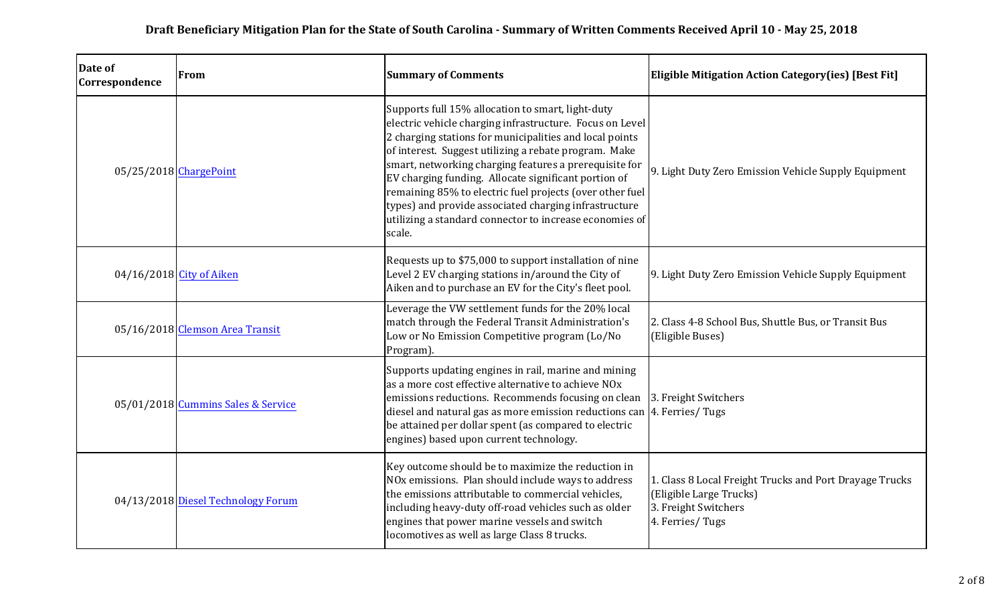| Date of<br>Correspondence | From                               | <b>Summary of Comments</b>                                                                                                                                                                                                                                                                                                                                                                                                                                                                                                                    | <b>Eligible Mitigation Action Category(ies) [Best Fit]</b>                                                                    |
|---------------------------|------------------------------------|-----------------------------------------------------------------------------------------------------------------------------------------------------------------------------------------------------------------------------------------------------------------------------------------------------------------------------------------------------------------------------------------------------------------------------------------------------------------------------------------------------------------------------------------------|-------------------------------------------------------------------------------------------------------------------------------|
| $05/25/2018$ ChargePoint  |                                    | Supports full 15% allocation to smart, light-duty<br>electric vehicle charging infrastructure. Focus on Level<br>2 charging stations for municipalities and local points<br>of interest. Suggest utilizing a rebate program. Make<br>smart, networking charging features a prerequisite for<br>EV charging funding. Allocate significant portion of<br>remaining 85% to electric fuel projects (over other fuel<br>types) and provide associated charging infrastructure<br>utilizing a standard connector to increase economies of<br>scale. | 9. Light Duty Zero Emission Vehicle Supply Equipment                                                                          |
|                           | 04/16/2018 City of Aiken           | Requests up to \$75,000 to support installation of nine<br>Level 2 EV charging stations in/around the City of<br>Aiken and to purchase an EV for the City's fleet pool.                                                                                                                                                                                                                                                                                                                                                                       | 9. Light Duty Zero Emission Vehicle Supply Equipment                                                                          |
|                           | 05/16/2018 Clemson Area Transit    | Leverage the VW settlement funds for the 20% local<br>match through the Federal Transit Administration's<br>Low or No Emission Competitive program (Lo/No<br>Program).                                                                                                                                                                                                                                                                                                                                                                        | 2. Class 4-8 School Bus, Shuttle Bus, or Transit Bus<br>(Eligible Buses)                                                      |
|                           | 05/01/2018 Cummins Sales & Service | Supports updating engines in rail, marine and mining<br>$\vert$ as a more cost effective alternative to achieve NOx<br>emissions reductions. Recommends focusing on clean<br>diesel and natural gas as more emission reductions can<br>be attained per dollar spent (as compared to electric<br>engines) based upon current technology.                                                                                                                                                                                                       | 3. Freight Switchers<br>4. Ferries/Tugs                                                                                       |
|                           | 04/13/2018 Diesel Technology Forum | Key outcome should be to maximize the reduction in<br>NOx emissions. Plan should include ways to address<br>the emissions attributable to commercial vehicles,<br>including heavy-duty off-road vehicles such as older<br>engines that power marine vessels and switch<br>locomotives as well as large Class 8 trucks.                                                                                                                                                                                                                        | 1. Class 8 Local Freight Trucks and Port Drayage Trucks<br>(Eligible Large Trucks)<br>3. Freight Switchers<br>4. Ferries/Tugs |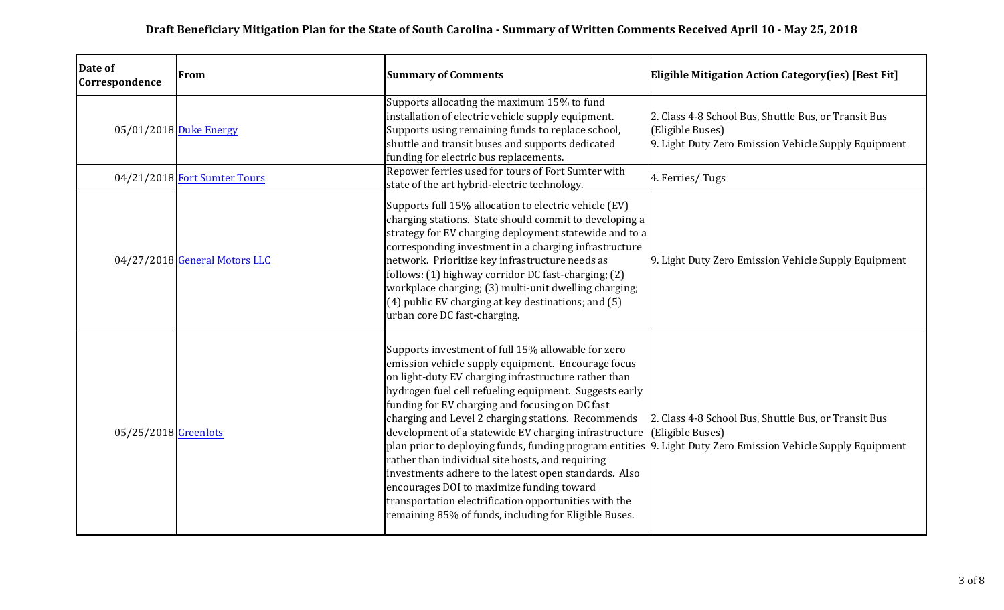| Date of<br>Correspondence | From                           | <b>Summary of Comments</b>                                                                                                                                                                                                                                                                                                                                                                                                                                                                                                                                                                                                                                                                                                                                                               | <b>Eligible Mitigation Action Category(ies) [Best Fit]</b>                                                                           |
|---------------------------|--------------------------------|------------------------------------------------------------------------------------------------------------------------------------------------------------------------------------------------------------------------------------------------------------------------------------------------------------------------------------------------------------------------------------------------------------------------------------------------------------------------------------------------------------------------------------------------------------------------------------------------------------------------------------------------------------------------------------------------------------------------------------------------------------------------------------------|--------------------------------------------------------------------------------------------------------------------------------------|
|                           | 05/01/2018 Duke Energy         | Supports allocating the maximum 15% to fund<br>installation of electric vehicle supply equipment.<br>Supports using remaining funds to replace school,<br>shuttle and transit buses and supports dedicated<br>funding for electric bus replacements.                                                                                                                                                                                                                                                                                                                                                                                                                                                                                                                                     | 2. Class 4-8 School Bus, Shuttle Bus, or Transit Bus<br>(Eligible Buses)<br>$ 9$ . Light Duty Zero Emission Vehicle Supply Equipment |
|                           | $04/21/2018$ Fort Sumter Tours | Repower ferries used for tours of Fort Sumter with<br>state of the art hybrid-electric technology.                                                                                                                                                                                                                                                                                                                                                                                                                                                                                                                                                                                                                                                                                       | 4. Ferries/Tugs                                                                                                                      |
|                           | 04/27/2018 General Motors LLC  | Supports full 15% allocation to electric vehicle (EV)<br>charging stations. State should commit to developing a<br>strategy for EV charging deployment statewide and to a<br>corresponding investment in a charging infrastructure<br>network. Prioritize key infrastructure needs as<br>follows: (1) highway corridor DC fast-charging; (2)<br>workplace charging; (3) multi-unit dwelling charging;<br>(4) public EV charging at key destinations; and (5)<br>urban core DC fast-charging.                                                                                                                                                                                                                                                                                             | 9. Light Duty Zero Emission Vehicle Supply Equipment                                                                                 |
| $05/25/2018$ Greenlots    |                                | Supports investment of full 15% allowable for zero<br>emission vehicle supply equipment. Encourage focus<br>on light-duty EV charging infrastructure rather than<br>hydrogen fuel cell refueling equipment. Suggests early<br>funding for EV charging and focusing on DC fast<br>charging and Level 2 charging stations. Recommends<br>development of a statewide EV charging infrastructure<br>plan prior to deploying funds, funding program entities 9. Light Duty Zero Emission Vehicle Supply Equipment<br>rather than individual site hosts, and requiring<br>investments adhere to the latest open standards. Also<br>encourages DOI to maximize funding toward<br>transportation electrification opportunities with the<br>remaining 85% of funds, including for Eligible Buses. | 2. Class 4-8 School Bus, Shuttle Bus, or Transit Bus<br>(Eligible Buses)                                                             |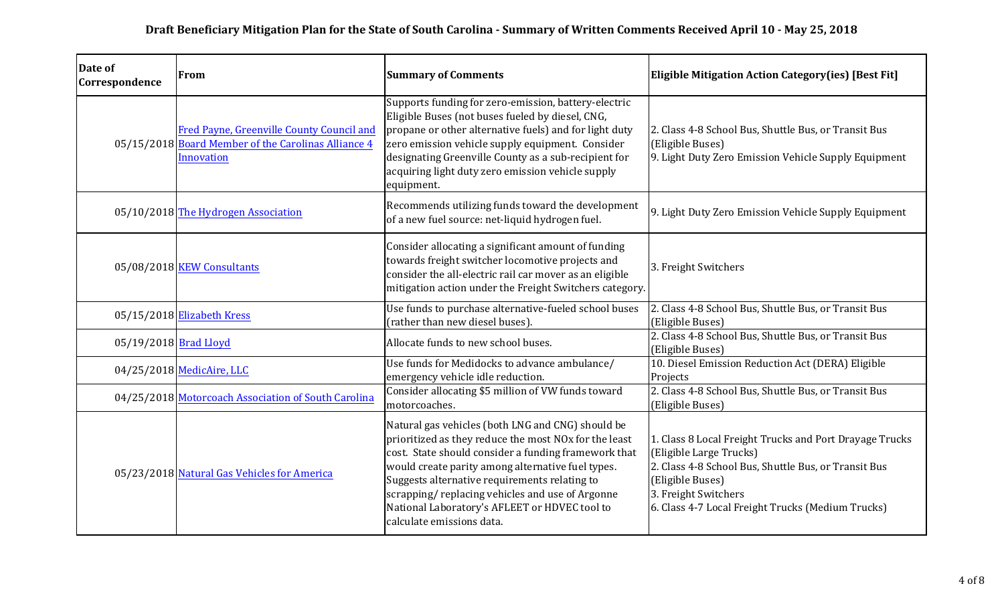| Date of<br>Correspondence | From                                                                                                           | <b>Summary of Comments</b>                                                                                                                                                                                                                                                                                                                                                                                | <b>Eligible Mitigation Action Category(ies) [Best Fit]</b>                                                                                                                                                                                  |
|---------------------------|----------------------------------------------------------------------------------------------------------------|-----------------------------------------------------------------------------------------------------------------------------------------------------------------------------------------------------------------------------------------------------------------------------------------------------------------------------------------------------------------------------------------------------------|---------------------------------------------------------------------------------------------------------------------------------------------------------------------------------------------------------------------------------------------|
|                           | Fred Payne, Greenville County Council and<br>05/15/2018 Board Member of the Carolinas Alliance 4<br>Innovation | Supports funding for zero-emission, battery-electric<br>Eligible Buses (not buses fueled by diesel, CNG,<br>propane or other alternative fuels) and for light duty<br>zero emission vehicle supply equipment. Consider<br>designating Greenville County as a sub-recipient for<br>acquiring light duty zero emission vehicle supply<br>equipment.                                                         | 2. Class 4-8 School Bus, Shuttle Bus, or Transit Bus<br>(Eligible Buses)<br>9. Light Duty Zero Emission Vehicle Supply Equipment                                                                                                            |
|                           | 05/10/2018 The Hydrogen Association                                                                            | Recommends utilizing funds toward the development<br>of a new fuel source: net-liquid hydrogen fuel.                                                                                                                                                                                                                                                                                                      | 9. Light Duty Zero Emission Vehicle Supply Equipment                                                                                                                                                                                        |
|                           | $05/08/2018$ KEW Consultants                                                                                   | Consider allocating a significant amount of funding<br>towards freight switcher locomotive projects and<br>consider the all-electric rail car mover as an eligible<br>mitigation action under the Freight Switchers category.                                                                                                                                                                             | 3. Freight Switchers                                                                                                                                                                                                                        |
|                           | $05/15/2018$ Elizabeth Kress                                                                                   | Use funds to purchase alternative-fueled school buses<br>(rather than new diesel buses).                                                                                                                                                                                                                                                                                                                  | 2. Class 4-8 School Bus, Shuttle Bus, or Transit Bus<br>(Eligible Buses)                                                                                                                                                                    |
| 05/19/2018 Brad Lloyd     |                                                                                                                | Allocate funds to new school buses.                                                                                                                                                                                                                                                                                                                                                                       | 2. Class 4-8 School Bus, Shuttle Bus, or Transit Bus<br>(Eligible Buses)                                                                                                                                                                    |
|                           | 04/25/2018 MedicAire, LLC                                                                                      | Use funds for Medidocks to advance ambulance/<br>emergency vehicle idle reduction.                                                                                                                                                                                                                                                                                                                        | 10. Diesel Emission Reduction Act (DERA) Eligible<br>Projects                                                                                                                                                                               |
|                           | 04/25/2018 Motorcoach Association of South Carolina                                                            | Consider allocating \$5 million of VW funds toward<br>motorcoaches.                                                                                                                                                                                                                                                                                                                                       | 2. Class 4-8 School Bus, Shuttle Bus, or Transit Bus<br>(Eligible Buses)                                                                                                                                                                    |
|                           | 05/23/2018 Natural Gas Vehicles for America                                                                    | Natural gas vehicles (both LNG and CNG) should be<br>prioritized as they reduce the most NOx for the least<br>cost. State should consider a funding framework that<br>would create parity among alternative fuel types.<br>Suggests alternative requirements relating to<br>scrapping/replacing vehicles and use of Argonne<br>National Laboratory's AFLEET or HDVEC tool to<br>calculate emissions data. | 1. Class 8 Local Freight Trucks and Port Drayage Trucks<br>(Eligible Large Trucks)<br>2. Class 4-8 School Bus, Shuttle Bus, or Transit Bus<br>(Eligible Buses)<br>3. Freight Switchers<br>6. Class 4-7 Local Freight Trucks (Medium Trucks) |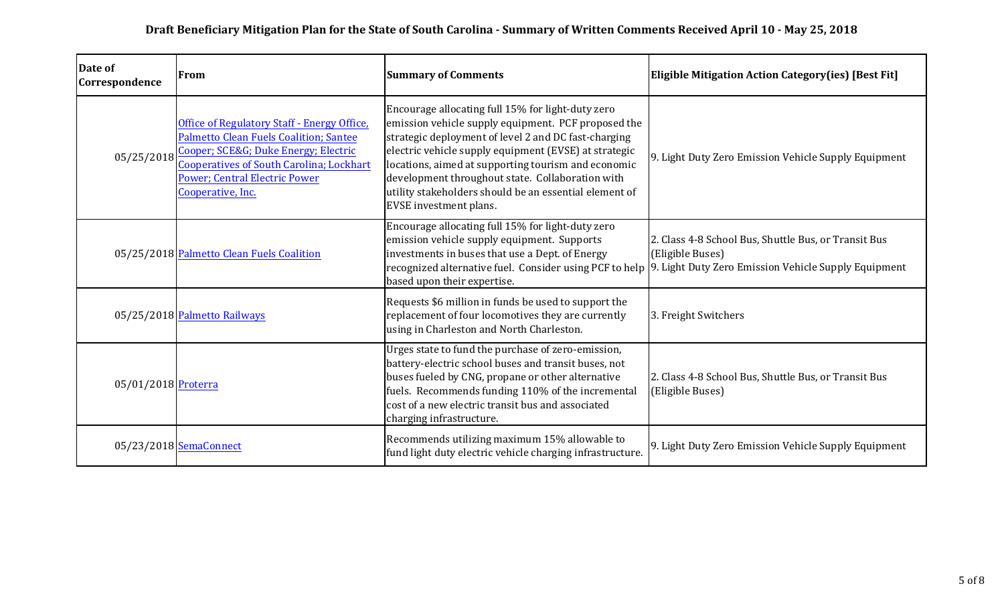| Date of<br>Correspondence | From                                                                                                                                                                                                                                                | <b>Summary of Comments</b>                                                                                                                                                                                                                                                                                                                                                                                               | <b>Eligible Mitigation Action Category(ies) [Best Fit]</b>                                                                                                                               |
|---------------------------|-----------------------------------------------------------------------------------------------------------------------------------------------------------------------------------------------------------------------------------------------------|--------------------------------------------------------------------------------------------------------------------------------------------------------------------------------------------------------------------------------------------------------------------------------------------------------------------------------------------------------------------------------------------------------------------------|------------------------------------------------------------------------------------------------------------------------------------------------------------------------------------------|
| 05/25/2018                | Office of Regulatory Staff - Energy Office,<br><b>Palmetto Clean Fuels Coalition; Santee</b><br>Cooper; SCE&G Duke Energy; Electric<br><b>Cooperatives of South Carolina; Lockhart</b><br><b>Power; Central Electric Power</b><br>Cooperative, Inc. | Encourage allocating full 15% for light-duty zero<br>emission vehicle supply equipment. PCF proposed the<br>strategic deployment of level 2 and DC fast-charging<br>electric vehicle supply equipment (EVSE) at strategic<br>locations, aimed at supporting tourism and economic<br>development throughout state. Collaboration with<br>utility stakeholders should be an essential element of<br>EVSE investment plans. | 9. Light Duty Zero Emission Vehicle Supply Equipment                                                                                                                                     |
|                           | 05/25/2018 Palmetto Clean Fuels Coalition                                                                                                                                                                                                           | Encourage allocating full 15% for light-duty zero<br>emission vehicle supply equipment. Supports<br>investments in buses that use a Dept. of Energy<br>based upon their expertise.                                                                                                                                                                                                                                       | 2. Class 4-8 School Bus, Shuttle Bus, or Transit Bus<br>(Eligible Buses)<br>recognized alternative fuel. Consider using PCF to help 9. Light Duty Zero Emission Vehicle Supply Equipment |
|                           | 05/25/2018 Palmetto Railways                                                                                                                                                                                                                        | Requests \$6 million in funds be used to support the<br>replacement of four locomotives they are currently<br>using in Charleston and North Charleston.                                                                                                                                                                                                                                                                  | 3. Freight Switchers                                                                                                                                                                     |
| 05/01/2018 Proterra       |                                                                                                                                                                                                                                                     | Urges state to fund the purchase of zero-emission,<br>battery-electric school buses and transit buses, not<br>buses fueled by CNG, propane or other alternative<br>fuels. Recommends funding 110% of the incremental<br>cost of a new electric transit bus and associated<br>charging infrastructure.                                                                                                                    | 2. Class 4-8 School Bus, Shuttle Bus, or Transit Bus<br>(Eligible Buses)                                                                                                                 |
|                           | 05/23/2018 SemaConnect                                                                                                                                                                                                                              | Recommends utilizing maximum 15% allowable to<br>fund light duty electric vehicle charging infrastructure.                                                                                                                                                                                                                                                                                                               | 9. Light Duty Zero Emission Vehicle Supply Equipment                                                                                                                                     |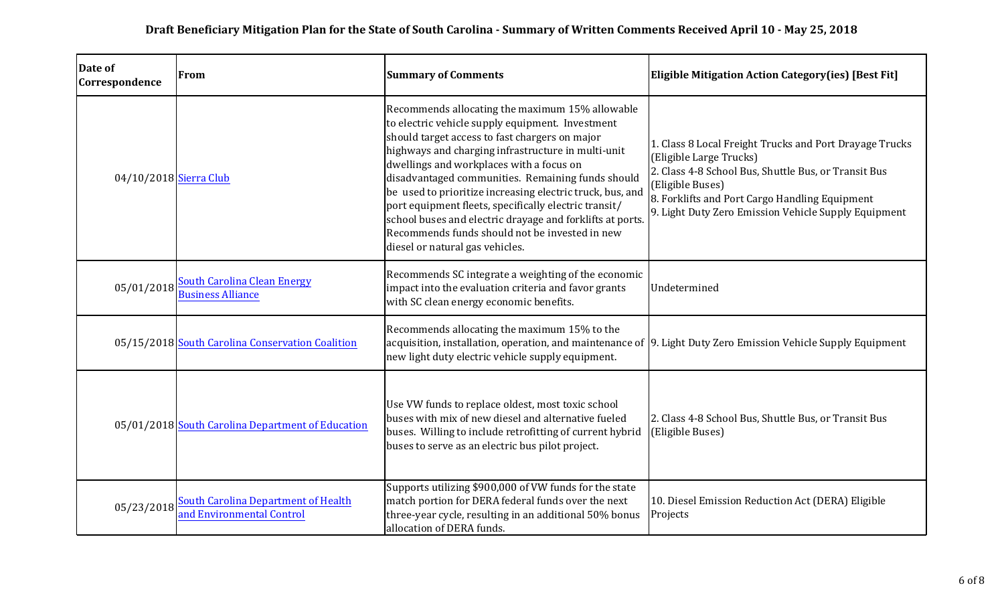| Date of<br>Correspondence | From                                                                    | <b>Summary of Comments</b>                                                                                                                                                                                                                                                                                                                                                                                                                                                                                                                                                           | <b>Eligible Mitigation Action Category(ies) [Best Fit]</b>                                                                                                                                                                                                               |
|---------------------------|-------------------------------------------------------------------------|--------------------------------------------------------------------------------------------------------------------------------------------------------------------------------------------------------------------------------------------------------------------------------------------------------------------------------------------------------------------------------------------------------------------------------------------------------------------------------------------------------------------------------------------------------------------------------------|--------------------------------------------------------------------------------------------------------------------------------------------------------------------------------------------------------------------------------------------------------------------------|
| 04/10/2018 Sierra Club    |                                                                         | Recommends allocating the maximum 15% allowable<br>to electric vehicle supply equipment. Investment<br>should target access to fast chargers on major<br>highways and charging infrastructure in multi-unit<br>dwellings and workplaces with a focus on<br>disadvantaged communities. Remaining funds should<br>be used to prioritize increasing electric truck, bus, and<br>port equipment fleets, specifically electric transit/<br>school buses and electric drayage and forklifts at ports.<br>Recommends funds should not be invested in new<br>diesel or natural gas vehicles. | 1. Class 8 Local Freight Trucks and Port Drayage Trucks<br>(Eligible Large Trucks)<br>2. Class 4-8 School Bus, Shuttle Bus, or Transit Bus<br>(Eligible Buses)<br>8. Forklifts and Port Cargo Handling Equipment<br>9. Light Duty Zero Emission Vehicle Supply Equipment |
| 05/01/2018                | <b>South Carolina Clean Energy</b><br><b>Business Alliance</b>          | Recommends SC integrate a weighting of the economic<br>impact into the evaluation criteria and favor grants<br>with SC clean energy economic benefits.                                                                                                                                                                                                                                                                                                                                                                                                                               | Undetermined                                                                                                                                                                                                                                                             |
|                           | 05/15/2018 South Carolina Conservation Coalition                        | Recommends allocating the maximum 15% to the<br>acquisition, installation, operation, and maintenance of 9. Light Duty Zero Emission Vehicle Supply Equipment<br>new light duty electric vehicle supply equipment.                                                                                                                                                                                                                                                                                                                                                                   |                                                                                                                                                                                                                                                                          |
|                           | 05/01/2018 South Carolina Department of Education                       | Use VW funds to replace oldest, most toxic school<br>buses with mix of new diesel and alternative fueled<br>buses. Willing to include retrofitting of current hybrid<br>buses to serve as an electric bus pilot project.                                                                                                                                                                                                                                                                                                                                                             | 2. Class 4-8 School Bus, Shuttle Bus, or Transit Bus<br>(Eligible Buses)                                                                                                                                                                                                 |
| 05/23/2018                | <b>South Carolina Department of Health</b><br>and Environmental Control | Supports utilizing \$900,000 of VW funds for the state<br>match portion for DERA federal funds over the next<br>three-year cycle, resulting in an additional 50% bonus<br>allocation of DERA funds.                                                                                                                                                                                                                                                                                                                                                                                  | 10. Diesel Emission Reduction Act (DERA) Eligible<br>Projects                                                                                                                                                                                                            |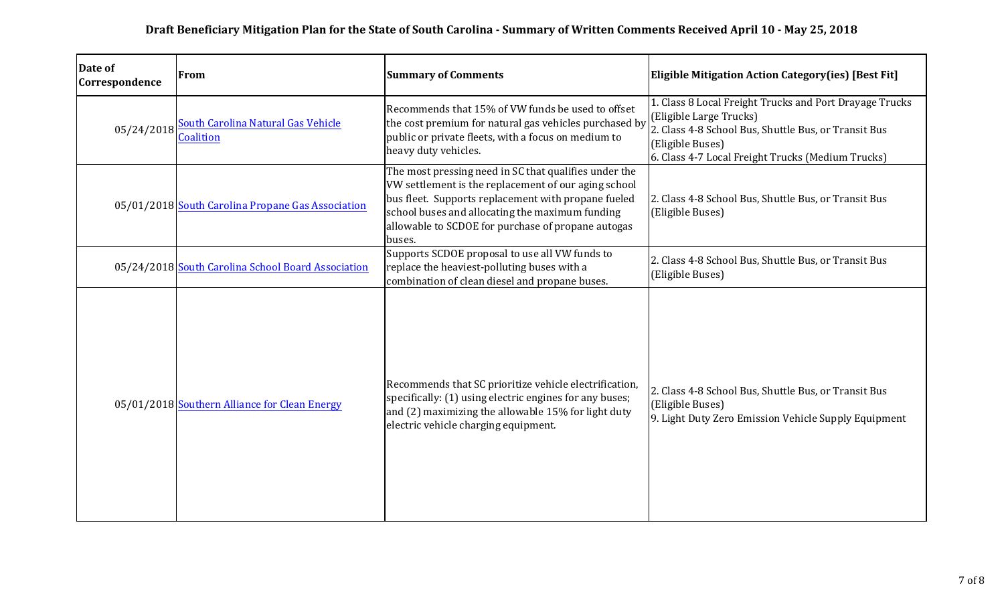| Date of<br>Correspondence | From                                                   | <b>Summary of Comments</b>                                                                                                                                                                                                                                                              | <b>Eligible Mitigation Action Category(ies) [Best Fit]</b>                                                                                                                                                          |
|---------------------------|--------------------------------------------------------|-----------------------------------------------------------------------------------------------------------------------------------------------------------------------------------------------------------------------------------------------------------------------------------------|---------------------------------------------------------------------------------------------------------------------------------------------------------------------------------------------------------------------|
| 05/24/2018                | <b>South Carolina Natural Gas Vehicle</b><br>Coalition | Recommends that 15% of VW funds be used to offset<br>the cost premium for natural gas vehicles purchased by<br>public or private fleets, with a focus on medium to<br>heavy duty vehicles.                                                                                              | 1. Class 8 Local Freight Trucks and Port Drayage Trucks<br>(Eligible Large Trucks)<br>2. Class 4-8 School Bus, Shuttle Bus, or Transit Bus<br>(Eligible Buses)<br>6. Class 4-7 Local Freight Trucks (Medium Trucks) |
|                           | 05/01/2018 South Carolina Propane Gas Association      | The most pressing need in SC that qualifies under the<br>VW settlement is the replacement of our aging school<br>bus fleet. Supports replacement with propane fueled<br>school buses and allocating the maximum funding<br>allowable to SCDOE for purchase of propane autogas<br>buses. | 2. Class 4-8 School Bus, Shuttle Bus, or Transit Bus<br>(Eligible Buses)                                                                                                                                            |
|                           | 05/24/2018 South Carolina School Board Association     | Supports SCDOE proposal to use all VW funds to<br>replace the heaviest-polluting buses with a<br>combination of clean diesel and propane buses.                                                                                                                                         | 2. Class 4-8 School Bus, Shuttle Bus, or Transit Bus<br>(Eligible Buses)                                                                                                                                            |
|                           | 05/01/2018 Southern Alliance for Clean Energy          | Recommends that SC prioritize vehicle electrification,<br>specifically: (1) using electric engines for any buses;<br>and (2) maximizing the allowable 15% for light duty<br>electric vehicle charging equipment.                                                                        | 2. Class 4-8 School Bus, Shuttle Bus, or Transit Bus<br>(Eligible Buses)<br>9. Light Duty Zero Emission Vehicle Supply Equipment                                                                                    |